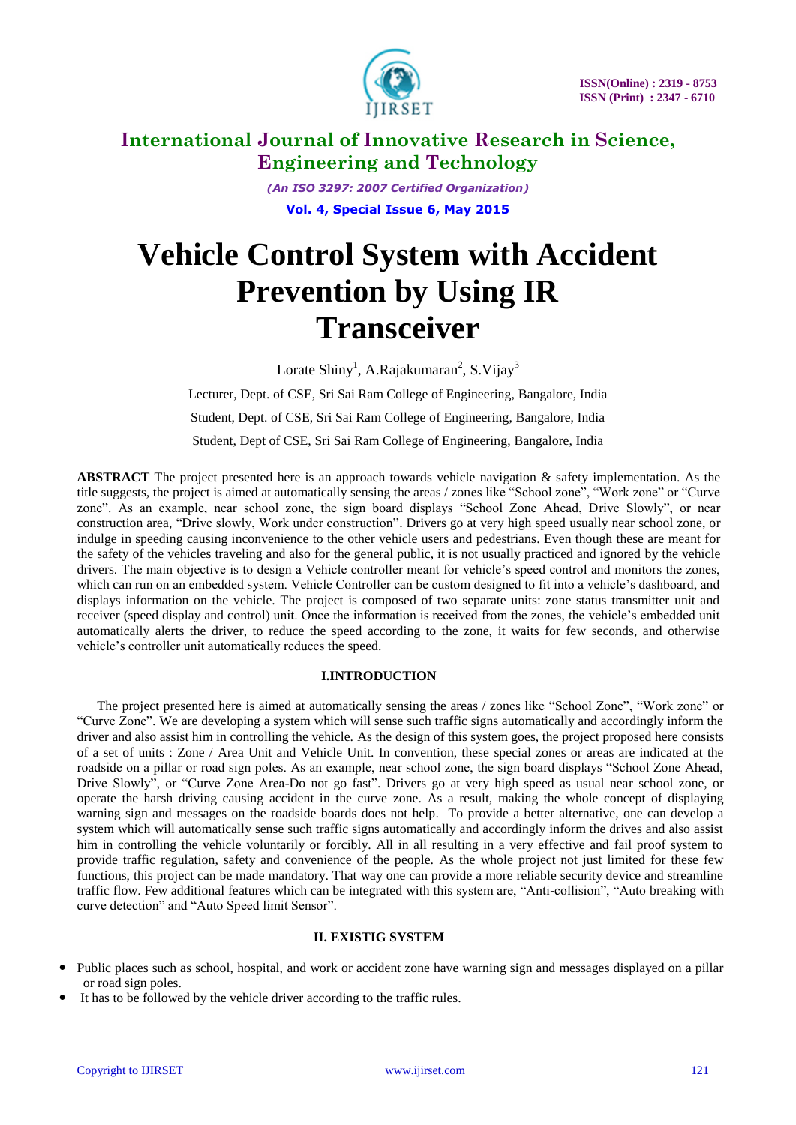

*(An ISO 3297: 2007 Certified Organization)* **Vol. 4, Special Issue 6, May 2015**

# **Vehicle Control System with Accident Prevention by Using IR Transceiver**

Lorate Shiny<sup>1</sup>, A.Rajakumaran<sup>2</sup>, S.Vijay<sup>3</sup>

Lecturer, Dept. of CSE, Sri Sai Ram College of Engineering, Bangalore, India Student, Dept. of CSE, Sri Sai Ram College of Engineering, Bangalore, India Student, Dept of CSE, Sri Sai Ram College of Engineering, Bangalore, India

**ABSTRACT** The project presented here is an approach towards vehicle navigation & safety implementation. As the title suggests, the project is aimed at automatically sensing the areas / zones like "School zone", "Work zone" or "Curve zone". As an example, near school zone, the sign board displays "School Zone Ahead, Drive Slowly", or near construction area, "Drive slowly, Work under construction". Drivers go at very high speed usually near school zone, or indulge in speeding causing inconvenience to the other vehicle users and pedestrians. Even though these are meant for the safety of the vehicles traveling and also for the general public, it is not usually practiced and ignored by the vehicle drivers. The main objective is to design a Vehicle controller meant for vehicle"s speed control and monitors the zones, which can run on an embedded system. Vehicle Controller can be custom designed to fit into a vehicle"s dashboard, and displays information on the vehicle. The project is composed of two separate units: zone status transmitter unit and receiver (speed display and control) unit. Once the information is received from the zones, the vehicle"s embedded unit automatically alerts the driver, to reduce the speed according to the zone, it waits for few seconds, and otherwise vehicle"s controller unit automatically reduces the speed.

### **I.INTRODUCTION**

 The project presented here is aimed at automatically sensing the areas / zones like "School Zone", "Work zone" or "Curve Zone". We are developing a system which will sense such traffic signs automatically and accordingly inform the driver and also assist him in controlling the vehicle. As the design of this system goes, the project proposed here consists of a set of units : Zone / Area Unit and Vehicle Unit. In convention, these special zones or areas are indicated at the roadside on a pillar or road sign poles. As an example, near school zone, the sign board displays "School Zone Ahead, Drive Slowly", or "Curve Zone Area-Do not go fast". Drivers go at very high speed as usual near school zone, or operate the harsh driving causing accident in the curve zone. As a result, making the whole concept of displaying warning sign and messages on the roadside boards does not help. To provide a better alternative, one can develop a system which will automatically sense such traffic signs automatically and accordingly inform the drives and also assist him in controlling the vehicle voluntarily or forcibly. All in all resulting in a very effective and fail proof system to provide traffic regulation, safety and convenience of the people. As the whole project not just limited for these few functions, this project can be made mandatory. That way one can provide a more reliable security device and streamline traffic flow. Few additional features which can be integrated with this system are, "Anti-collision", "Auto breaking with curve detection" and "Auto Speed limit Sensor".

#### **II. EXISTIG SYSTEM**

- Public places such as school, hospital, and work or accident zone have warning sign and messages displayed on a pillar or road sign poles.
- It has to be followed by the vehicle driver according to the traffic rules.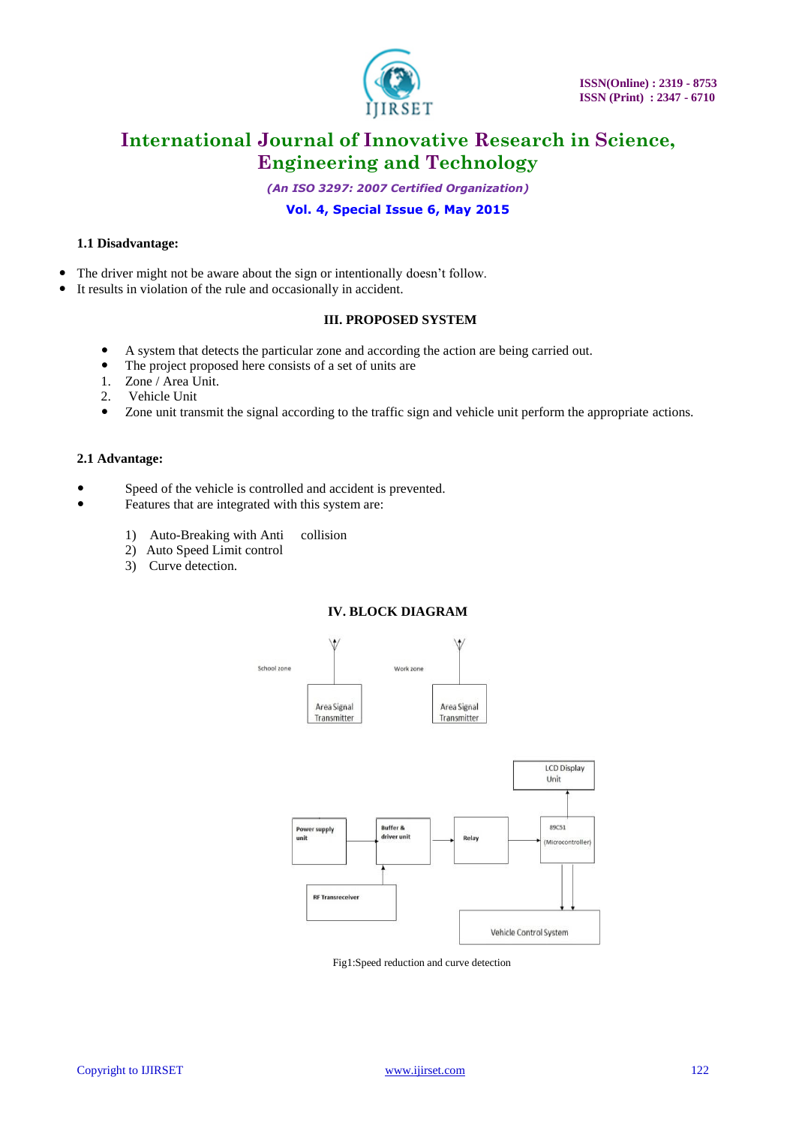

*(An ISO 3297: 2007 Certified Organization)*

### **Vol. 4, Special Issue 6, May 2015**

#### **1.1 Disadvantage:**

- The driver might not be aware about the sign or intentionally doesn't follow.
- It results in violation of the rule and occasionally in accident.

#### **III. PROPOSED SYSTEM**

- A system that detects the particular zone and according the action are being carried out.
- The project proposed here consists of a set of units are
- 1. Zone / Area Unit.
- 2. Vehicle Unit
- Zone unit transmit the signal according to the traffic sign and vehicle unit perform the appropriate actions.

#### **2.1 Advantage:**

- Speed of the vehicle is controlled and accident is prevented.
- Features that are integrated with this system are:
	- 1) Auto-Breaking with Anti collision
	- 2) Auto Speed Limit control
	- 3) Curve detection.

#### **IV. BLOCK DIAGRAM**



Fig1:Speed reduction and curve detection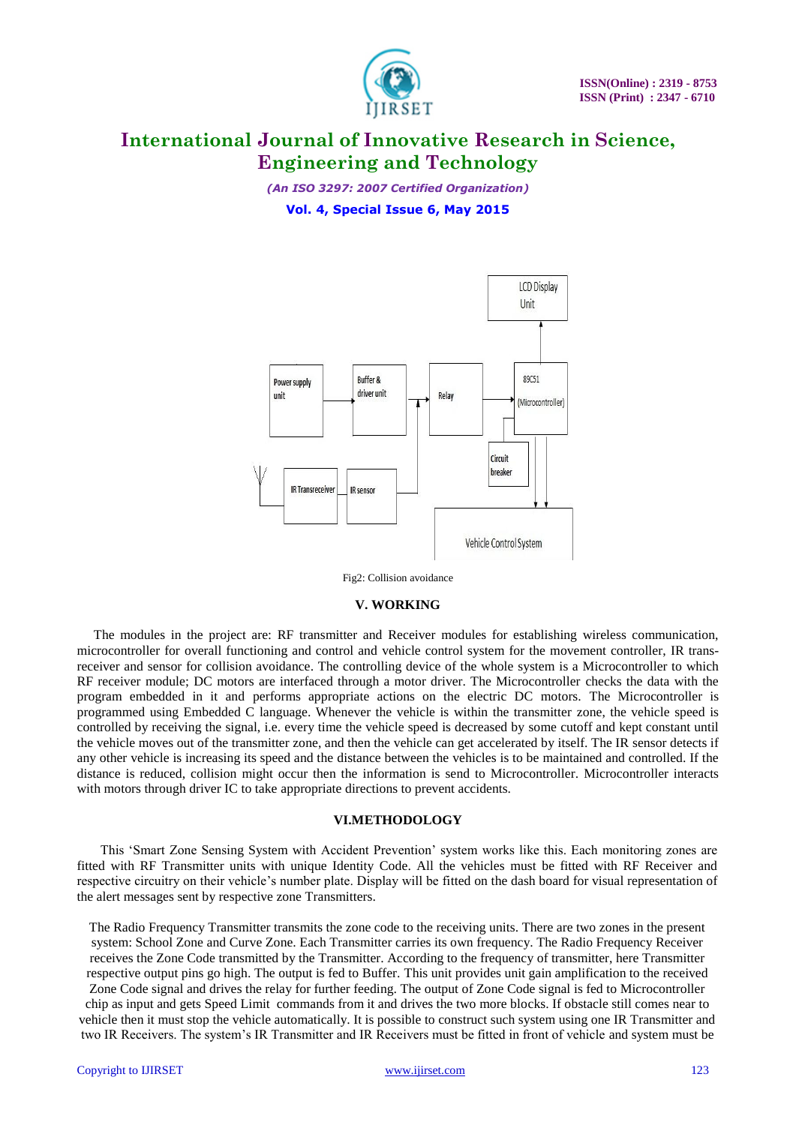

*(An ISO 3297: 2007 Certified Organization)* **Vol. 4, Special Issue 6, May 2015**



Fig2: Collision avoidance

#### **V. WORKING**

 The modules in the project are: RF transmitter and Receiver modules for establishing wireless communication, microcontroller for overall functioning and control and vehicle control system for the movement controller, IR transreceiver and sensor for collision avoidance. The controlling device of the whole system is a Microcontroller to which RF receiver module; DC motors are interfaced through a motor driver. The Microcontroller checks the data with the program embedded in it and performs appropriate actions on the electric DC motors. The Microcontroller is programmed using Embedded C language. Whenever the vehicle is within the transmitter zone, the vehicle speed is controlled by receiving the signal, i.e. every time the vehicle speed is decreased by some cutoff and kept constant until the vehicle moves out of the transmitter zone, and then the vehicle can get accelerated by itself. The IR sensor detects if any other vehicle is increasing its speed and the distance between the vehicles is to be maintained and controlled. If the distance is reduced, collision might occur then the information is send to Microcontroller. Microcontroller interacts with motors through driver IC to take appropriate directions to prevent accidents.

#### **VI.METHODOLOGY**

 This "Smart Zone Sensing System with Accident Prevention" system works like this. Each monitoring zones are fitted with RF Transmitter units with unique Identity Code. All the vehicles must be fitted with RF Receiver and respective circuitry on their vehicle"s number plate. Display will be fitted on the dash board for visual representation of the alert messages sent by respective zone Transmitters.

The Radio Frequency Transmitter transmits the zone code to the receiving units. There are two zones in the present system: School Zone and Curve Zone. Each Transmitter carries its own frequency. The Radio Frequency Receiver receives the Zone Code transmitted by the Transmitter. According to the frequency of transmitter, here Transmitter respective output pins go high. The output is fed to Buffer. This unit provides unit gain amplification to the received Zone Code signal and drives the relay for further feeding. The output of Zone Code signal is fed to Microcontroller chip as input and gets Speed Limit commands from it and drives the two more blocks. If obstacle still comes near to vehicle then it must stop the vehicle automatically. It is possible to construct such system using one IR Transmitter and two IR Receivers. The system"s IR Transmitter and IR Receivers must be fitted in front of vehicle and system must be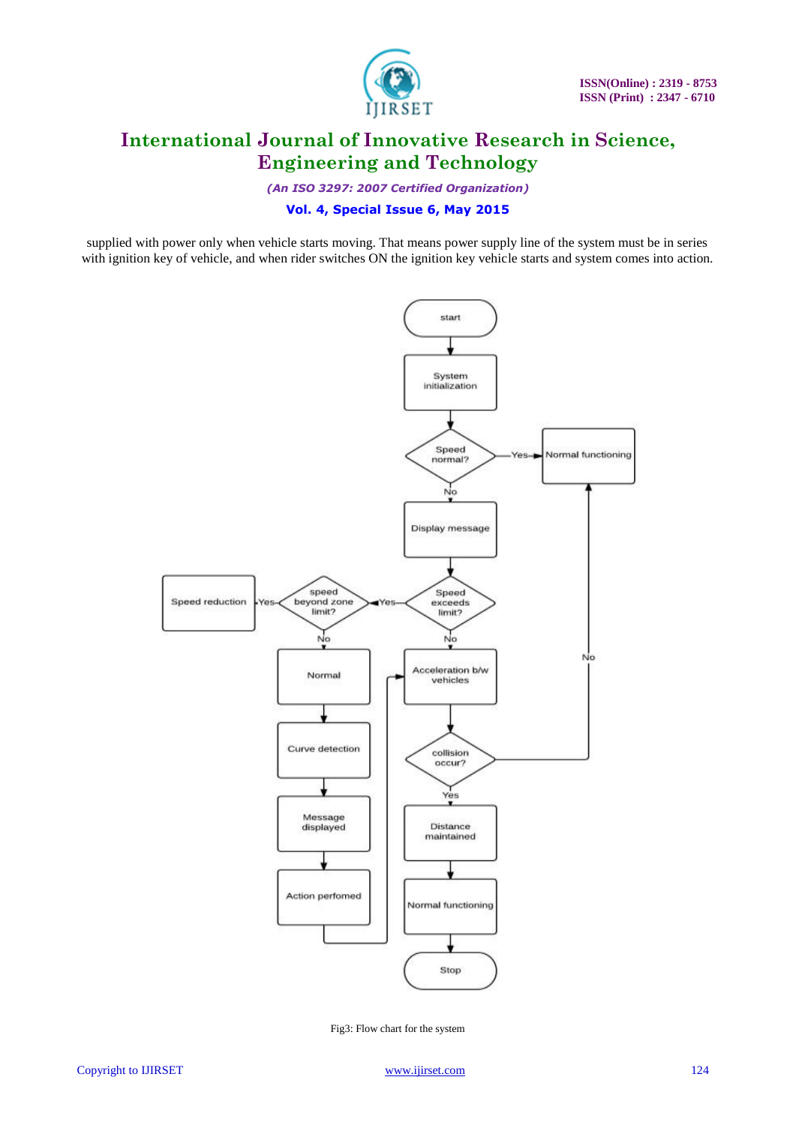

*(An ISO 3297: 2007 Certified Organization)*

### **Vol. 4, Special Issue 6, May 2015**

supplied with power only when vehicle starts moving. That means power supply line of the system must be in series with ignition key of vehicle, and when rider switches ON the ignition key vehicle starts and system comes into action.



Fig3: Flow chart for the system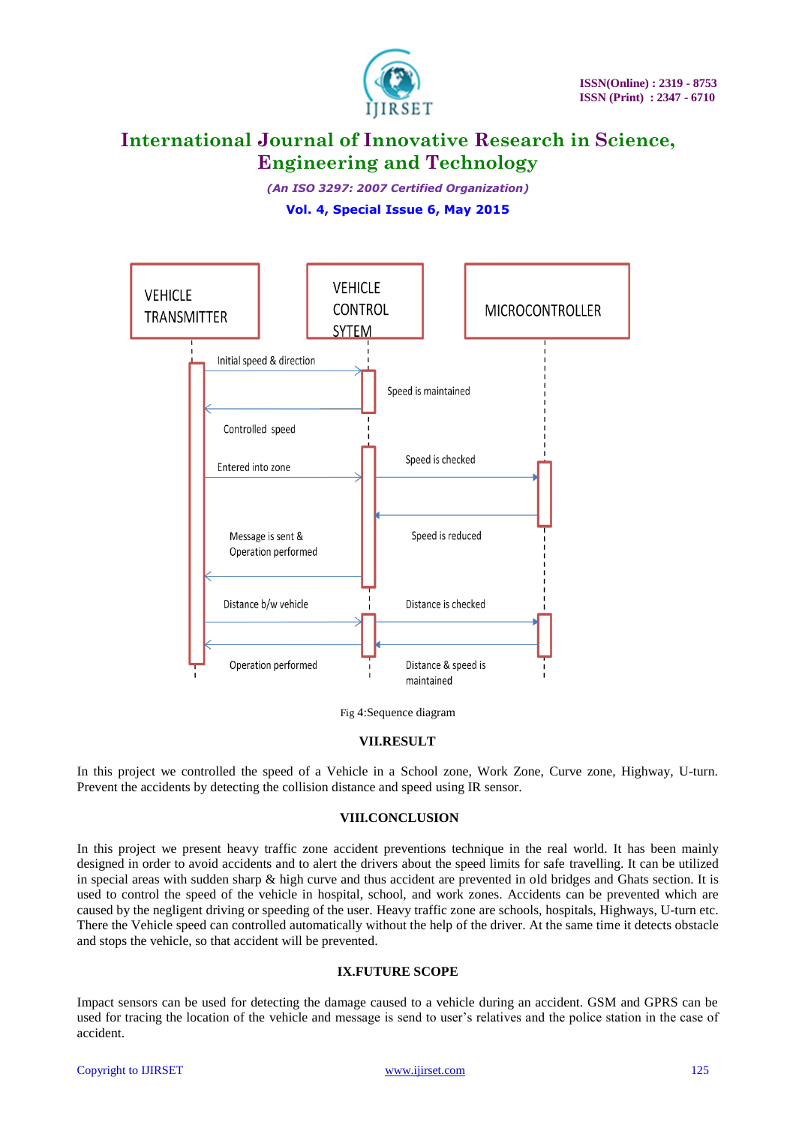

*(An ISO 3297: 2007 Certified Organization)* **Vol. 4, Special Issue 6, May 2015**



Fig 4:Sequence diagram

#### **VII.RESULT**

In this project we controlled the speed of a Vehicle in a School zone, Work Zone, Curve zone, Highway, U-turn. Prevent the accidents by detecting the collision distance and speed using IR sensor.

#### **VIII.CONCLUSION**

In this project we present heavy traffic zone accident preventions technique in the real world. It has been mainly designed in order to avoid accidents and to alert the drivers about the speed limits for safe travelling. It can be utilized in special areas with sudden sharp & high curve and thus accident are prevented in old bridges and Ghats section. It is used to control the speed of the vehicle in hospital, school, and work zones. Accidents can be prevented which are caused by the negligent driving or speeding of the user. Heavy traffic zone are schools, hospitals, Highways, U-turn etc. There the Vehicle speed can controlled automatically without the help of the driver. At the same time it detects obstacle and stops the vehicle, so that accident will be prevented.

### **IX.FUTURE SCOPE**

Impact sensors can be used for detecting the damage caused to a vehicle during an accident. GSM and GPRS can be used for tracing the location of the vehicle and message is send to user's relatives and the police station in the case of accident.